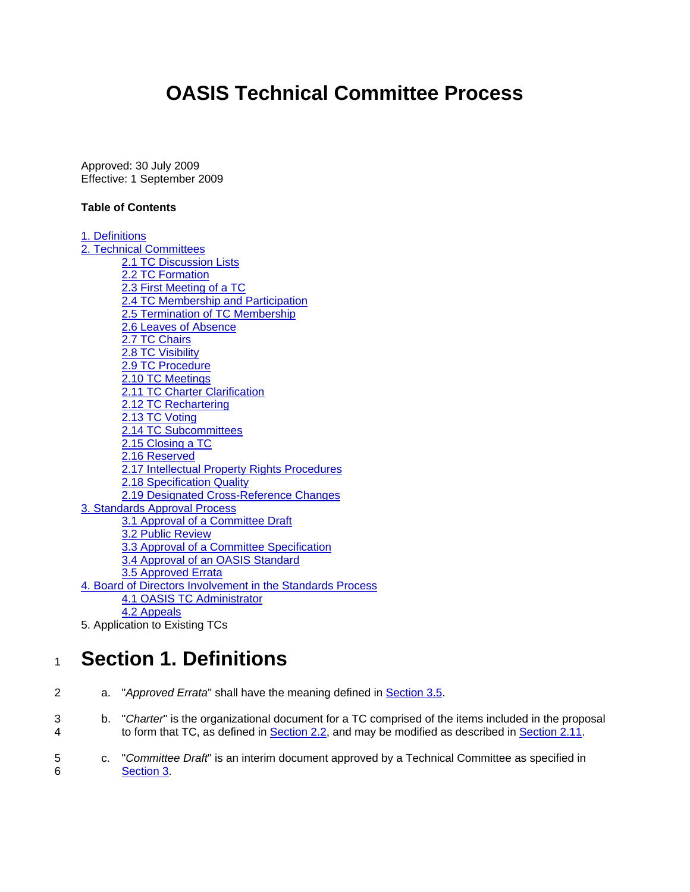# **OASIS Technical Committee Process**

<span id="page-0-0"></span>Approved: 30 July 2009 Effective: 1 September 2009

## **Table of Contents**

[1. Definitions](#page-0-0) [2. Technical Committees](#page-3-0) [2.1 TC Discussion Lists](#page-3-0) [2.2 TC Formation](#page-3-0) [2.3 First Meeting of a TC](#page-5-0) [2.4 TC Membership and Participation](#page-6-0) [2.5 Termination of TC Membership](#page-7-0) [2.6 Leaves of Absence](#page-7-0) [2.7 TC Chairs](#page-7-0) [2.8 TC Visibility](#page-8-0) [2.9 TC Procedure](#page-9-0) [2.10 TC Meetings](#page-9-0) [2.11 TC Charter Clarification](#page-9-0) [2.12 TC Rechartering](#page-10-0) [2.13 TC Voting](#page-10-0) [2.14 TC Subcommittees](#page-10-0) [2.15 Closing a TC](#page-10-0) [2.16 Reserved](#page-11-0) [2.17 Intellectual Property Rights Procedures](#page-11-0) [2.18 Specification Quality](#page-11-0) [2.19 Designated Cross-Reference Changes](#page-12-0) [3. Standards Approval Process](#page-12-0) [3.1 Approval of a Committee Draft](#page-12-0) [3.2 Public Review](#page-13-0) [3.3 Approval of a Committee Specification](#page-13-0) [3.4 Approval of an OASIS Standard](#page-13-0) [3.5 Approved Errata](#page-15-0) [4. Board of Directors Involvement in the Standards Process](#page-16-0) [4.1 OASIS TC Administrator](#page-16-0) [4.2 Appeals](#page-16-0) 5. Application to Existing TCs

# <sup>1</sup>**Section 1. Definitions**

- 2 a. "*Approved Errata*" shall have the meaning defined in [Section 3.5.](#page-15-0)
- 3 b. "*Charter*" is the organizational document for a TC comprised of the items included in the proposal 4 to form that TC, as defined in [Section 2.2,](#page-3-0) and may be modified as described in [Section 2.11.](#page-9-0)
- 5 c. "*Committee Draft*" is an interim document approved by a Technical Committee as specified in 6 [Section 3.](#page-12-0)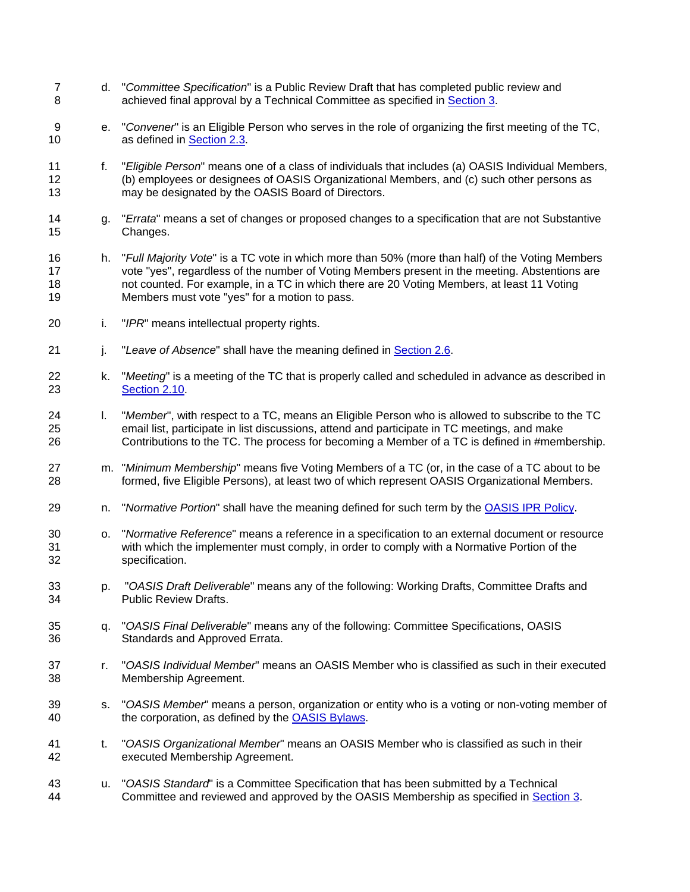- 7 d. "*Committee Specification*" is a Public Review Draft that has completed public review and 8 achieved final approval by a Technical Committee as specified in [Section 3](#page-12-0).
- 9 e. "*Convener*" is an Eligible Person who serves in the role of organizing the first meeting of the TC, 10 **as defined in [Section 2.3.](#page-5-0)**
- 11 12 13 f. "*Eligible Person*" means one of a class of individuals that includes (a) OASIS Individual Members, (b) employees or designees of OASIS Organizational Members, and (c) such other persons as may be designated by the OASIS Board of Directors.
- 14 15 g. "*Errata*" means a set of changes or proposed changes to a specification that are not Substantive Changes.
- 16 17 18 19 h. "*Full Majority Vote*" is a TC vote in which more than 50% (more than half) of the Voting Members vote "yes", regardless of the number of Voting Members present in the meeting. Abstentions are not counted. For example, in a TC in which there are 20 Voting Members, at least 11 Voting Members must vote "yes" for a motion to pass.
- 20 i. "*IPR*" means intellectual property rights.
- 21 i. "Leave of Absence" shall have the meaning defined in [Section 2.6.](#page-7-0)
- 22 k. "*Meeting*" is a meeting of the TC that is properly called and scheduled in advance as described in 23 [Section 2.10.](#page-9-0)
- 24 25 26 l. "*Member*", with respect to a TC, means an Eligible Person who is allowed to subscribe to the TC email list, participate in list discussions, attend and participate in TC meetings, and make Contributions to the TC. The process for becoming a Member of a TC is defined in #membership.
- 27 28 m. "*Minimum Membership*" means five Voting Members of a TC (or, in the case of a TC about to be formed, five Eligible Persons), at least two of which represent OASIS Organizational Members.
- 29 n. "*Normative Portion*" shall have the meaning defined for such term by the [OASIS IPR Policy.](http://www.oasis-open.org/who/intellectualproperty.php)
- 30 31 32 o. "*Normative Reference*" means a reference in a specification to an external document or resource with which the implementer must comply, in order to comply with a Normative Portion of the specification.
- 33 34 p. "*OASIS Draft Deliverable*" means any of the following: Working Drafts, Committee Drafts and Public Review Drafts.
- 35 36 q. "*OASIS Final Deliverable*" means any of the following: Committee Specifications, OASIS Standards and Approved Errata.
- 37 38 r. "*OASIS Individual Member*" means an OASIS Member who is classified as such in their executed Membership Agreement.
- 39 s. "*OASIS Member*" means a person, organization or entity who is a voting or non-voting member of 40 the corporation, as defined by the [OASIS Bylaws](http://www.oasis-open.org/who/bylaws/index.php).
- 41 42 t. "*OASIS Organizational Member*" means an OASIS Member who is classified as such in their executed Membership Agreement.
- 43 u. "*OASIS Standard*" is a Committee Specification that has been submitted by a Technical 44 Committee and reviewed and approved by the OASIS Membership as specified in [Section 3](#page-12-0).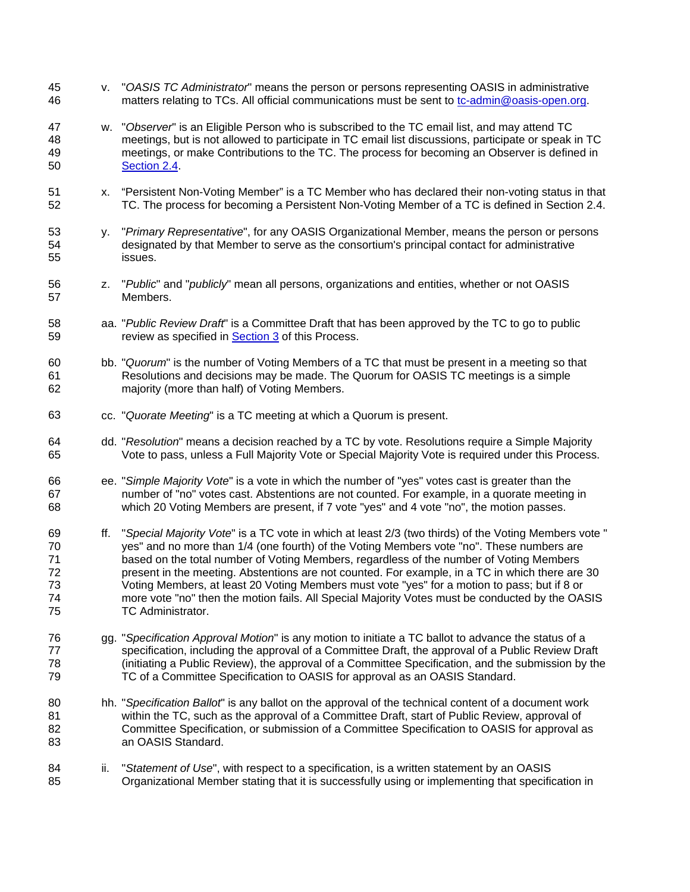- v. "*OASIS TC Administrator*" means the person or persons representing OASIS in administrative 46 matters relating to TCs. All official communications must be sent to to the admin@oasis-open.org. 45
- 47 48 49 w. "*Observer*" is an Eligible Person who is subscribed to the TC email list, and may attend TC meetings, but is not allowed to participate in TC email list discussions, participate or speak in TC meetings, or make Contributions to the TC. The process for becoming an Observer is defined in 50 [Section 2.4](#page-6-0).
- 51 52 x. "Persistent Non-Voting Member" is a TC Member who has declared their non-voting status in that TC. The process for becoming a Persistent Non-Voting Member of a TC is defined in Section 2.4.
- 53 54 55 y. "*Primary Representative*", for any OASIS Organizational Member, means the person or persons designated by that Member to serve as the consortium's principal contact for administrative issues.
- 56 57 z. "*Public*" and "*publicly*" mean all persons, organizations and entities, whether or not OASIS Members.
- 58 aa. "*Public Review Draft*" is a Committee Draft that has been approved by the TC to go to public 59 review as specified in [Section 3](#page-12-0) of this Process.
- 60 61 62 bb. "*Quorum*" is the number of Voting Members of a TC that must be present in a meeting so that Resolutions and decisions may be made. The Quorum for OASIS TC meetings is a simple majority (more than half) of Voting Members.
- 63 cc. "*Quorate Meeting*" is a TC meeting at which a Quorum is present.
- 64 65 dd. "*Resolution*" means a decision reached by a TC by vote. Resolutions require a Simple Majority Vote to pass, unless a Full Majority Vote or Special Majority Vote is required under this Process.
- 66 67 68 ee. "*Simple Majority Vote*" is a vote in which the number of "yes" votes cast is greater than the number of "no" votes cast. Abstentions are not counted. For example, in a quorate meeting in which 20 Voting Members are present, if 7 vote "yes" and 4 vote "no", the motion passes.
- 69 70 71 72 73 74 75 ff. "*Special Majority Vote*" is a TC vote in which at least 2/3 (two thirds) of the Voting Members vote " yes" and no more than 1/4 (one fourth) of the Voting Members vote "no". These numbers are based on the total number of Voting Members, regardless of the number of Voting Members present in the meeting. Abstentions are not counted. For example, in a TC in which there are 30 Voting Members, at least 20 Voting Members must vote "yes" for a motion to pass; but if 8 or more vote "no" then the motion fails. All Special Majority Votes must be conducted by the OASIS TC Administrator.
- 76 77 78 79 gg. "*Specification Approval Motion*" is any motion to initiate a TC ballot to advance the status of a specification, including the approval of a Committee Draft, the approval of a Public Review Draft (initiating a Public Review), the approval of a Committee Specification, and the submission by the TC of a Committee Specification to OASIS for approval as an OASIS Standard.
- 80 81 82 83 hh. "*Specification Ballot*" is any ballot on the approval of the technical content of a document work within the TC, such as the approval of a Committee Draft, start of Public Review, approval of Committee Specification, or submission of a Committee Specification to OASIS for approval as an OASIS Standard.
- 84 85 ii. "*Statement of Use*", with respect to a specification, is a written statement by an OASIS Organizational Member stating that it is successfully using or implementing that specification in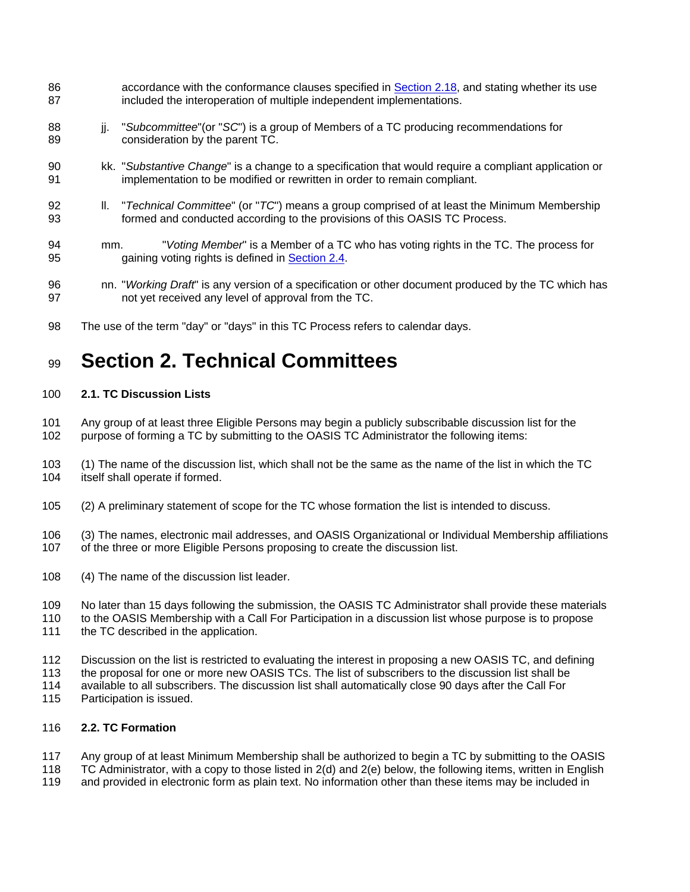- <span id="page-3-0"></span>accordance with the conformance clauses specified in **Section 2.18**, and stating whether its use included the interoperation of multiple independent implementations. 86 87
- 88 89 jj. "*Subcommittee*"(or "*SC*") is a group of Members of a TC producing recommendations for consideration by the parent TC.
- 90 91 kk. "*Substantive Change*" is a change to a specification that would require a compliant application or implementation to be modified or rewritten in order to remain compliant.
- 92 93 ll. "*Technical Committee*" (or "*TC*") means a group comprised of at least the Minimum Membership formed and conducted according to the provisions of this OASIS TC Process.
- 94 mm. "*Voting Member*" is a Member of a TC who has voting rights in the TC. The process for 95 gaining voting rights is defined in [Section 2.4.](#page-6-0)
- 96 97 nn. "*Working Draft*" is any version of a specification or other document produced by the TC which has not yet received any level of approval from the TC.
- 98 The use of the term "day" or "days" in this TC Process refers to calendar days.

## 99 **Section 2. Technical Committees**

#### 100 **2.1. TC Discussion Lists**

101 102 Any group of at least three Eligible Persons may begin a publicly subscribable discussion list for the purpose of forming a TC by submitting to the OASIS TC Administrator the following items:

103 104 (1) The name of the discussion list, which shall not be the same as the name of the list in which the TC itself shall operate if formed.

105 (2) A preliminary statement of scope for the TC whose formation the list is intended to discuss.

106 107 (3) The names, electronic mail addresses, and OASIS Organizational or Individual Membership affiliations of the three or more Eligible Persons proposing to create the discussion list.

- 108 (4) The name of the discussion list leader.
- 109 No later than 15 days following the submission, the OASIS TC Administrator shall provide these materials
- 110 111 to the OASIS Membership with a Call For Participation in a discussion list whose purpose is to propose the TC described in the application.
- 112 Discussion on the list is restricted to evaluating the interest in proposing a new OASIS TC, and defining
- 113 the proposal for one or more new OASIS TCs. The list of subscribers to the discussion list shall be
- 114 available to all subscribers. The discussion list shall automatically close 90 days after the Call For
- 115 Participation is issued.

#### 116 **2.2. TC Formation**

- 117 Any group of at least Minimum Membership shall be authorized to begin a TC by submitting to the OASIS
- 118 TC Administrator, with a copy to those listed in 2(d) and 2(e) below, the following items, written in English
- 119 and provided in electronic form as plain text. No information other than these items may be included in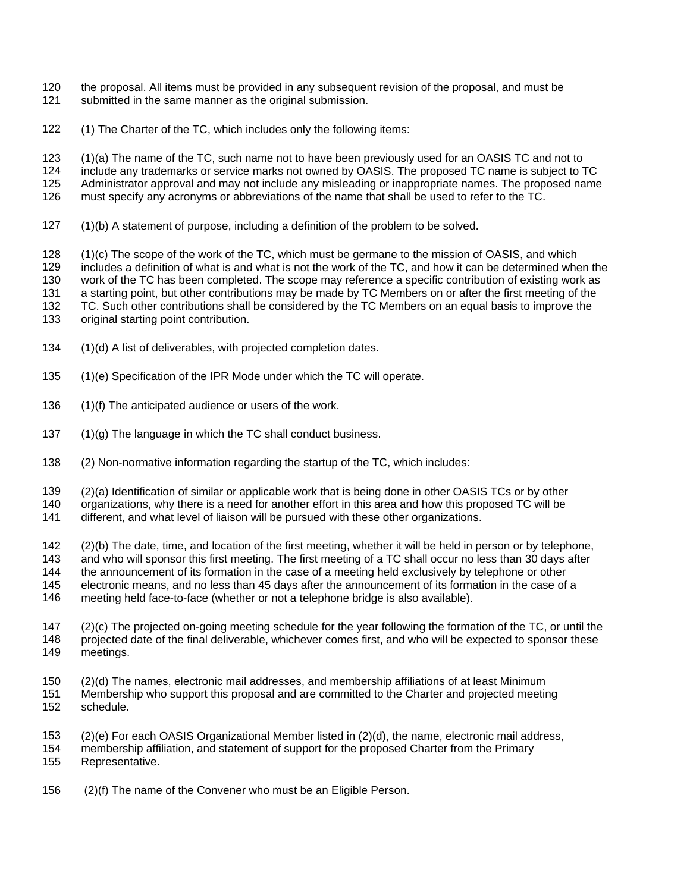- the proposal. All items must be provided in any subsequent revision of the proposal, and must be 120
- submitted in the same manner as the original submission. 121
- 122 (1) The Charter of the TC, which includes only the following items:

123 (1)(a) The name of the TC, such name not to have been previously used for an OASIS TC and not to

124 125 include any trademarks or service marks not owned by OASIS. The proposed TC name is subject to TC Administrator approval and may not include any misleading or inappropriate names. The proposed name

126 must specify any acronyms or abbreviations of the name that shall be used to refer to the TC.

127 (1)(b) A statement of purpose, including a definition of the problem to be solved.

128 129 (1)(c) The scope of the work of the TC, which must be germane to the mission of OASIS, and which includes a definition of what is and what is not the work of the TC, and how it can be determined when the

130 work of the TC has been completed. The scope may reference a specific contribution of existing work as

131 a starting point, but other contributions may be made by TC Members on or after the first meeting of the

132 TC. Such other contributions shall be considered by the TC Members on an equal basis to improve the

133 original starting point contribution.

- 134 (1)(d) A list of deliverables, with projected completion dates.
- 135 (1)(e) Specification of the IPR Mode under which the TC will operate.
- 136 (1)(f) The anticipated audience or users of the work.
- 137 (1)(g) The language in which the TC shall conduct business.
- 138 (2) Non-normative information regarding the startup of the TC, which includes:

139 (2)(a) Identification of similar or applicable work that is being done in other OASIS TCs or by other

140 organizations, why there is a need for another effort in this area and how this proposed TC will be

141 different, and what level of liaison will be pursued with these other organizations.

142 (2)(b) The date, time, and location of the first meeting, whether it will be held in person or by telephone,

143 and who will sponsor this first meeting. The first meeting of a TC shall occur no less than 30 days after

- 144 the announcement of its formation in the case of a meeting held exclusively by telephone or other
- 145 electronic means, and no less than 45 days after the announcement of its formation in the case of a
- 146 meeting held face-to-face (whether or not a telephone bridge is also available).
- 147 148 149 (2)(c) The projected on-going meeting schedule for the year following the formation of the TC, or until the projected date of the final deliverable, whichever comes first, and who will be expected to sponsor these meetings.
- 150 151 (2)(d) The names, electronic mail addresses, and membership affiliations of at least Minimum Membership who support this proposal and are committed to the Charter and projected meeting
- 152 schedule.

153 (2)(e) For each OASIS Organizational Member listed in (2)(d), the name, electronic mail address,

154 membership affiliation, and statement of support for the proposed Charter from the Primary

155 Representative.

156 (2)(f) The name of the Convener who must be an Eligible Person.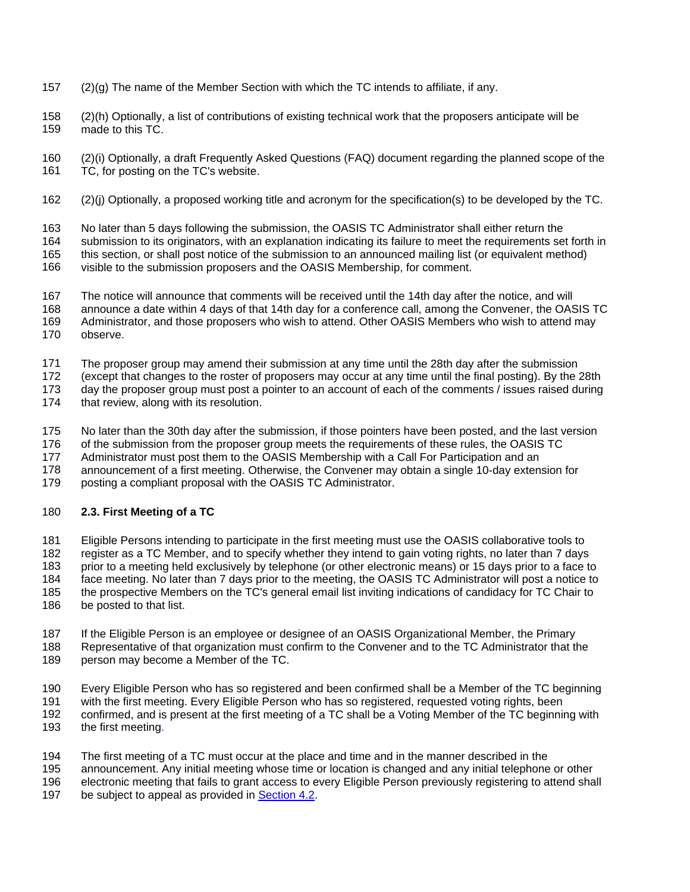- <span id="page-5-0"></span>157 (2)(g) The name of the Member Section with which the TC intends to affiliate, if any.
- 158 159 (2)(h) Optionally, a list of contributions of existing technical work that the proposers anticipate will be made to this TC.
- 160 161 (2)(i) Optionally, a draft Frequently Asked Questions (FAQ) document regarding the planned scope of the TC, for posting on the TC's website.
- 162 (2)(j) Optionally, a proposed working title and acronym for the specification(s) to be developed by the TC.

163 No later than 5 days following the submission, the OASIS TC Administrator shall either return the

164 165 submission to its originators, with an explanation indicating its failure to meet the requirements set forth in this section, or shall post notice of the submission to an announced mailing list (or equivalent method)

166 visible to the submission proposers and the OASIS Membership, for comment.

167 The notice will announce that comments will be received until the 14th day after the notice, and will

168 announce a date within 4 days of that 14th day for a conference call, among the Convener, the OASIS TC

169 170 Administrator, and those proposers who wish to attend. Other OASIS Members who wish to attend may observe.

171 The proposer group may amend their submission at any time until the 28th day after the submission

172 (except that changes to the roster of proposers may occur at any time until the final posting). By the 28th

173 day the proposer group must post a pointer to an account of each of the comments / issues raised during

174 that review, along with its resolution.

175 No later than the 30th day after the submission, if those pointers have been posted, and the last version

176 of the submission from the proposer group meets the requirements of these rules, the OASIS TC

177 Administrator must post them to the OASIS Membership with a Call For Participation and an

178 announcement of a first meeting. Otherwise, the Convener may obtain a single 10-day extension for

179 posting a compliant proposal with the OASIS TC Administrator.

#### 180 **2.3. First Meeting of a TC**

181 182 183 184 185 186 Eligible Persons intending to participate in the first meeting must use the OASIS collaborative tools to register as a TC Member, and to specify whether they intend to gain voting rights, no later than 7 days prior to a meeting held exclusively by telephone (or other electronic means) or 15 days prior to a face to face meeting. No later than 7 days prior to the meeting, the OASIS TC Administrator will post a notice to the prospective Members on the TC's general email list inviting indications of candidacy for TC Chair to be posted to that list.

187 188 If the Eligible Person is an employee or designee of an OASIS Organizational Member, the Primary Representative of that organization must confirm to the Convener and to the TC Administrator that the

189 person may become a Member of the TC.

190 191 192 193 Every Eligible Person who has so registered and been confirmed shall be a Member of the TC beginning with the first meeting. Every Eligible Person who has so registered, requested voting rights, been confirmed, and is present at the first meeting of a TC shall be a Voting Member of the TC beginning with the first meeting.

194 The first meeting of a TC must occur at the place and time and in the manner described in the

195 announcement. Any initial meeting whose time or location is changed and any initial telephone or other

196 electronic meeting that fails to grant access to every Eligible Person previously registering to attend shall

197 be subject to appeal as provided in [Section 4.2](#page-16-0).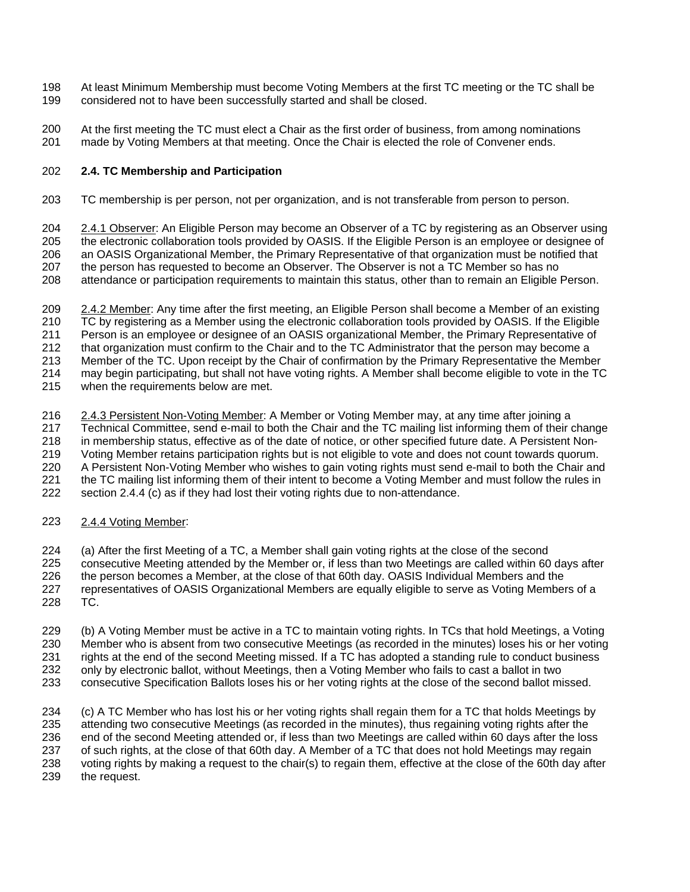- <span id="page-6-0"></span>At least Minimum Membership must become Voting Members at the first TC meeting or the TC shall be considered not to have been successfully started and shall be closed. 198 199
- 200 201 At the first meeting the TC must elect a Chair as the first order of business, from among nominations made by Voting Members at that meeting. Once the Chair is elected the role of Convener ends.

#### 202 **2.4. TC Membership and Participation**

203 TC membership is per person, not per organization, and is not transferable from person to person.

2.4.1 Observer: An Eligible Person may become an Observer of a TC by registering as an Observer using the electronic collaboration tools provided by OASIS. If the Eligible Person is an employee or designee of an OASIS Organizational Member, the Primary Representative of that organization must be notified that the person has requested to become an Observer. The Observer is not a TC Member so has no 204 205 206 207

attendance or participation requirements to maintain this status, other than to remain an Eligible Person. 208

- 2.4.2 Member: Any time after the first meeting, an Eligible Person shall become a Member of an existing TC by registering as a Member using the electronic collaboration tools provided by OASIS. If the Eligible Person is an employee or designee of an OASIS organizational Member, the Primary Representative of that organization must confirm to the Chair and to the TC Administrator that the person may become a Member of the TC. Upon receipt by the Chair of confirmation by the Primary Representative the Member may begin participating, but shall not have voting rights. A Member shall become eligible to vote in the TC when the requirements below are met. 209 210 211 212 213 214 215
- 2.4.3 Persistent Non-Voting Member: A Member or Voting Member may, at any time after joining a Technical Committee, send e-mail to both the Chair and the TC mailing list informing them of their change in membership status, effective as of the date of notice, or other specified future date. A Persistent Non-Voting Member retains participation rights but is not eligible to vote and does not count towards quorum. A Persistent Non-Voting Member who wishes to gain voting rights must send e-mail to both the Chair and the TC mailing list informing them of their intent to become a Voting Member and must follow the rules in section 2.4.4 (c) as if they had lost their voting rights due to non-attendance. 216 217 218 219 220 221 222
- 223 2.4.4 Voting Member:

224 (a) After the first Meeting of a TC, a Member shall gain voting rights at the close of the second

- 225 consecutive Meeting attended by the Member or, if less than two Meetings are called within 60 days after
- 226 the person becomes a Member, at the close of that 60th day. OASIS Individual Members and the
- 227 228 representatives of OASIS Organizational Members are equally eligible to serve as Voting Members of a TC.
- 229 230 231 232 (b) A Voting Member must be active in a TC to maintain voting rights. In TCs that hold Meetings, a Voting Member who is absent from two consecutive Meetings (as recorded in the minutes) loses his or her voting rights at the end of the second Meeting missed. If a TC has adopted a standing rule to conduct business only by electronic ballot, without Meetings, then a Voting Member who fails to cast a ballot in two
- 233 consecutive Specification Ballots loses his or her voting rights at the close of the second ballot missed.

234 235 236 237 238 239 (c) A TC Member who has lost his or her voting rights shall regain them for a TC that holds Meetings by attending two consecutive Meetings (as recorded in the minutes), thus regaining voting rights after the end of the second Meeting attended or, if less than two Meetings are called within 60 days after the loss of such rights, at the close of that 60th day. A Member of a TC that does not hold Meetings may regain voting rights by making a request to the chair(s) to regain them, effective at the close of the 60th day after the request.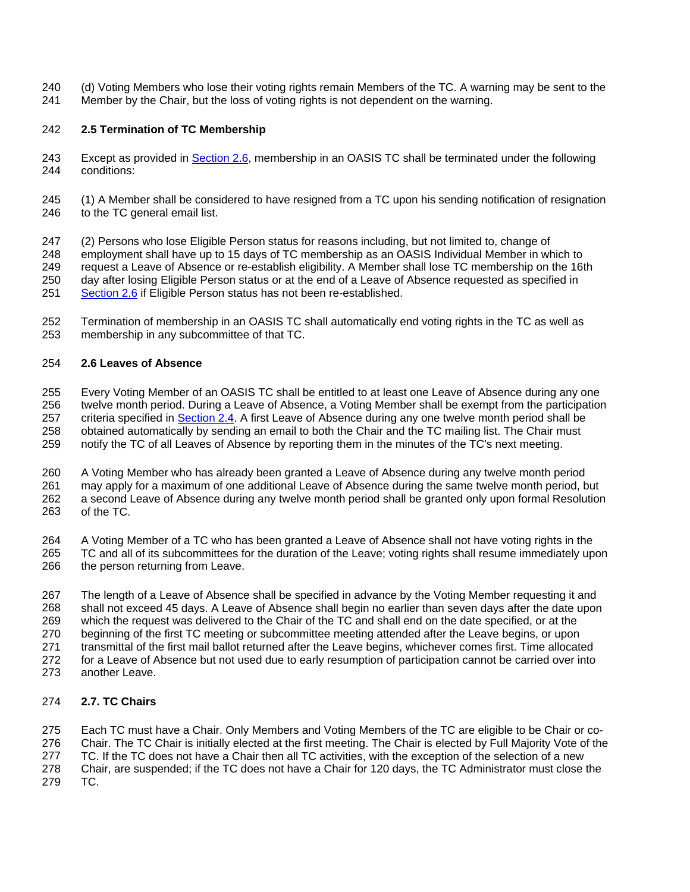- <span id="page-7-0"></span>(d) Voting Members who lose their voting rights remain Members of the TC. A warning may be sent to the 240
- Member by the Chair, but the loss of voting rights is not dependent on the warning. 241

# 242 **2.5 Termination of TC Membership**

- Except as provided in [Section 2.6](#page-7-0), membership in an OASIS TC shall be terminated under the following conditions: 243 244
- 245 246 (1) A Member shall be considered to have resigned from a TC upon his sending notification of resignation to the TC general email list.
- 247 248 249 250 (2) Persons who lose Eligible Person status for reasons including, but not limited to, change of employment shall have up to 15 days of TC membership as an OASIS Individual Member in which to request a Leave of Absence or re-establish eligibility. A Member shall lose TC membership on the 16th day after losing Eligible Person status or at the end of a Leave of Absence requested as specified in 251 [Section 2.6](#page-7-0) if Eligible Person status has not been re-established.
- 252 253 Termination of membership in an OASIS TC shall automatically end voting rights in the TC as well as membership in any subcommittee of that TC.

#### 254 **2.6 Leaves of Absence**

255 256 Every Voting Member of an OASIS TC shall be entitled to at least one Leave of Absence during any one twelve month period. During a Leave of Absence, a Voting Member shall be exempt from the participation criteria specified in [Section 2.4.](#page-6-0) A first Leave of Absence during any one twelve month period shall be obtained automatically by sending an email to both the Chair and the TC mailing list. The Chair must notify the TC of all Leaves of Absence by reporting them in the minutes of the TC's next meeting. 257 258 259

260 261 262 263 A Voting Member who has already been granted a Leave of Absence during any twelve month period may apply for a maximum of one additional Leave of Absence during the same twelve month period, but a second Leave of Absence during any twelve month period shall be granted only upon formal Resolution of the TC.

264 265 266 A Voting Member of a TC who has been granted a Leave of Absence shall not have voting rights in the TC and all of its subcommittees for the duration of the Leave; voting rights shall resume immediately upon the person returning from Leave.

267 268 269 270 271 272 273 The length of a Leave of Absence shall be specified in advance by the Voting Member requesting it and shall not exceed 45 days. A Leave of Absence shall begin no earlier than seven days after the date upon which the request was delivered to the Chair of the TC and shall end on the date specified, or at the beginning of the first TC meeting or subcommittee meeting attended after the Leave begins, or upon transmittal of the first mail ballot returned after the Leave begins, whichever comes first. Time allocated for a Leave of Absence but not used due to early resumption of participation cannot be carried over into another Leave.

#### 274 **2.7. TC Chairs**

275 276 277 278 279 Each TC must have a Chair. Only Members and Voting Members of the TC are eligible to be Chair or co-Chair. The TC Chair is initially elected at the first meeting. The Chair is elected by Full Majority Vote of the TC. If the TC does not have a Chair then all TC activities, with the exception of the selection of a new Chair, are suspended; if the TC does not have a Chair for 120 days, the TC Administrator must close the TC.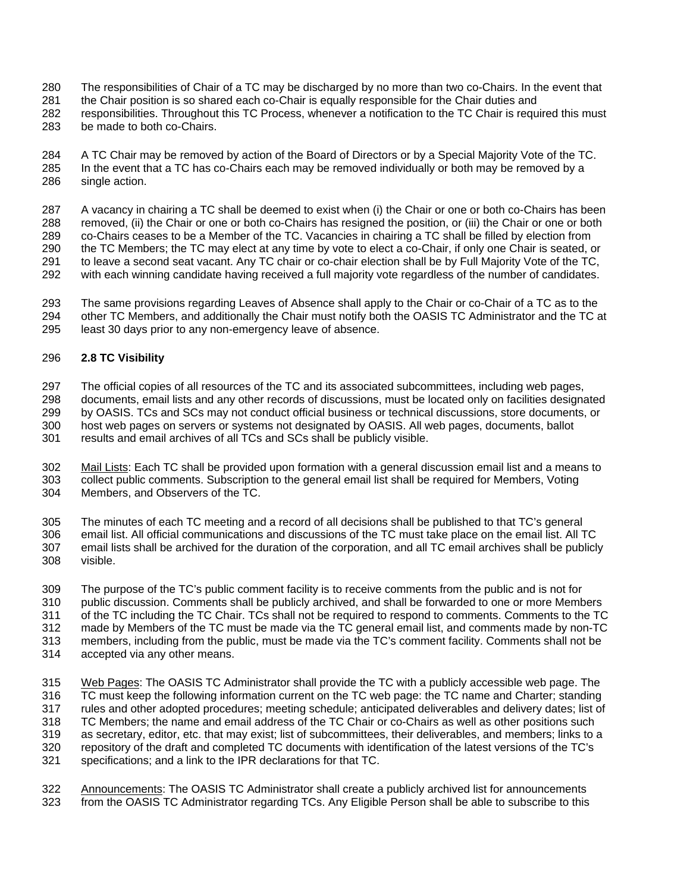- <span id="page-8-0"></span>The responsibilities of Chair of a TC may be discharged by no more than two co-Chairs. In the event that 280
- the Chair position is so shared each co-Chair is equally responsible for the Chair duties and 281
- responsibilities. Throughout this TC Process, whenever a notification to the TC Chair is required this must 282
- be made to both co-Chairs. 283

284 285 286 A TC Chair may be removed by action of the Board of Directors or by a Special Majority Vote of the TC. In the event that a TC has co-Chairs each may be removed individually or both may be removed by a single action.

287 288 289 290 291 292 A vacancy in chairing a TC shall be deemed to exist when (i) the Chair or one or both co-Chairs has been removed, (ii) the Chair or one or both co-Chairs has resigned the position, or (iii) the Chair or one or both co-Chairs ceases to be a Member of the TC. Vacancies in chairing a TC shall be filled by election from the TC Members; the TC may elect at any time by vote to elect a co-Chair, if only one Chair is seated, or to leave a second seat vacant. Any TC chair or co-chair election shall be by Full Majority Vote of the TC, with each winning candidate having received a full majority vote regardless of the number of candidates.

- 293 294 The same provisions regarding Leaves of Absence shall apply to the Chair or co-Chair of a TC as to the other TC Members, and additionally the Chair must notify both the OASIS TC Administrator and the TC at
- 295 least 30 days prior to any non-emergency leave of absence.

#### 296 **2.8 TC Visibility**

297 The official copies of all resources of the TC and its associated subcommittees, including web pages,

298 documents, email lists and any other records of discussions, must be located only on facilities designated

299 300 by OASIS. TCs and SCs may not conduct official business or technical discussions, store documents, or host web pages on servers or systems not designated by OASIS. All web pages, documents, ballot

301 results and email archives of all TCs and SCs shall be publicly visible.

Mail Lists: Each TC shall be provided upon formation with a general discussion email list and a means to collect public comments. Subscription to the general email list shall be required for Members, Voting Members, and Observers of the TC. 302 303 304

305 306 307 308 The minutes of each TC meeting and a record of all decisions shall be published to that TC's general email list. All official communications and discussions of the TC must take place on the email list. All TC email lists shall be archived for the duration of the corporation, and all TC email archives shall be publicly visible.

309 310 311 312 313 314 The purpose of the TC's public comment facility is to receive comments from the public and is not for public discussion. Comments shall be publicly archived, and shall be forwarded to one or more Members of the TC including the TC Chair. TCs shall not be required to respond to comments. Comments to the TC made by Members of the TC must be made via the TC general email list, and comments made by non-TC members, including from the public, must be made via the TC's comment facility. Comments shall not be accepted via any other means.

Web Pages: The OASIS TC Administrator shall provide the TC with a publicly accessible web page. The TC must keep the following information current on the TC web page: the TC name and Charter; standing rules and other adopted procedures; meeting schedule; anticipated deliverables and delivery dates; list of TC Members; the name and email address of the TC Chair or co-Chairs as well as other positions such as secretary, editor, etc. that may exist; list of subcommittees, their deliverables, and members; links to a repository of the draft and completed TC documents with identification of the latest versions of the TC's specifications; and a link to the IPR declarations for that TC. 315 316 317 318 319 320 321

Announcements: The OASIS TC Administrator shall create a publicly archived list for announcements from the OASIS TC Administrator regarding TCs. Any Eligible Person shall be able to subscribe to this 322 323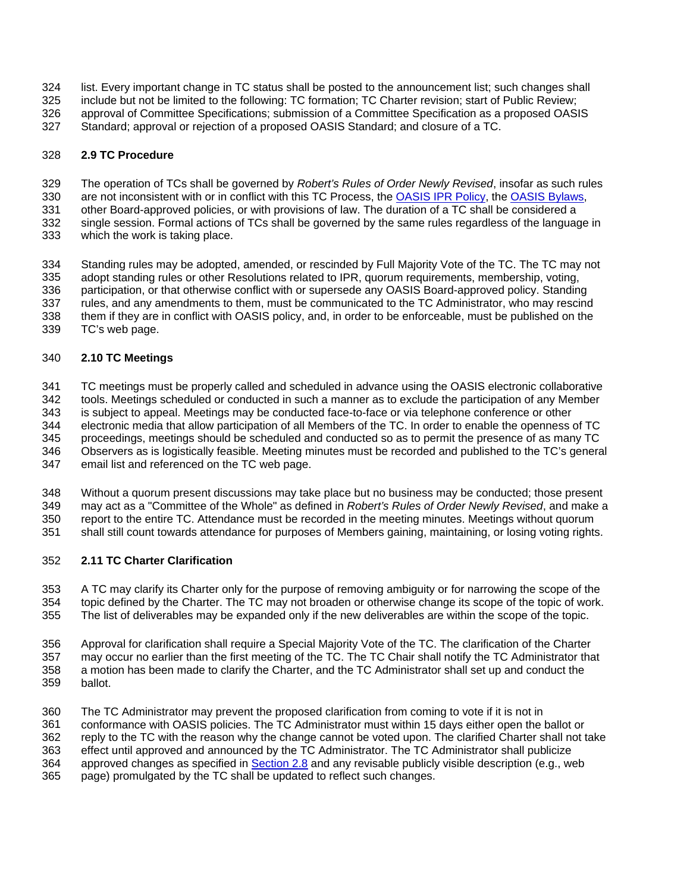- <span id="page-9-0"></span>list. Every important change in TC status shall be posted to the announcement list; such changes shall 324
- include but not be limited to the following: TC formation; TC Charter revision; start of Public Review; 325
- approval of Committee Specifications; submission of a Committee Specification as a proposed OASIS 326
- Standard; approval or rejection of a proposed OASIS Standard; and closure of a TC. 327

#### 328 **2.9 TC Procedure**

- 329 The operation of TCs shall be governed by *Robert's Rules of Order Newly Revised*, insofar as such rules
- are not inconsistent with or in conflict with this TC Process, the [OASIS IPR Policy,](http://www.oasis-open.org/who/intellectualproperty.php) the [OASIS Bylaws](http://www.oasis-open.org/who/bylaws/index.php), 330
- other Board-approved policies, or with provisions of law. The duration of a TC shall be considered a 331
- single session. Formal actions of TCs shall be governed by the same rules regardless of the language in 332
- which the work is taking place. 333

334 335 336 337 338 339 Standing rules may be adopted, amended, or rescinded by Full Majority Vote of the TC. The TC may not adopt standing rules or other Resolutions related to IPR, quorum requirements, membership, voting, participation, or that otherwise conflict with or supersede any OASIS Board-approved policy. Standing rules, and any amendments to them, must be communicated to the TC Administrator, who may rescind them if they are in conflict with OASIS policy, and, in order to be enforceable, must be published on the TC's web page.

#### 340 **2.10 TC Meetings**

341 342 343 344 TC meetings must be properly called and scheduled in advance using the OASIS electronic collaborative tools. Meetings scheduled or conducted in such a manner as to exclude the participation of any Member is subject to appeal. Meetings may be conducted face-to-face or via telephone conference or other electronic media that allow participation of all Members of the TC. In order to enable the openness of TC

- 345 346 proceedings, meetings should be scheduled and conducted so as to permit the presence of as many TC Observers as is logistically feasible. Meeting minutes must be recorded and published to the TC's general email list and referenced on the TC web page.
- 347

348 349 Without a quorum present discussions may take place but no business may be conducted; those present may act as a "Committee of the Whole" as defined in *Robert's Rules of Order Newly Revised*, and make a

350 351 report to the entire TC. Attendance must be recorded in the meeting minutes. Meetings without quorum shall still count towards attendance for purposes of Members gaining, maintaining, or losing voting rights.

#### 352 **2.11 TC Charter Clarification**

353 354 355 A TC may clarify its Charter only for the purpose of removing ambiguity or for narrowing the scope of the topic defined by the Charter. The TC may not broaden or otherwise change its scope of the topic of work. The list of deliverables may be expanded only if the new deliverables are within the scope of the topic.

356 357 358 359 Approval for clarification shall require a Special Majority Vote of the TC. The clarification of the Charter may occur no earlier than the first meeting of the TC. The TC Chair shall notify the TC Administrator that a motion has been made to clarify the Charter, and the TC Administrator shall set up and conduct the ballot.

360 361 The TC Administrator may prevent the proposed clarification from coming to vote if it is not in conformance with OASIS policies. The TC Administrator must within 15 days either open the ballot or

362 reply to the TC with the reason why the change cannot be voted upon. The clarified Charter shall not take

363 effect until approved and announced by the TC Administrator. The TC Administrator shall publicize

approved changes as specified in [Section 2.8](#page-8-0) and any revisable publicly visible description (e.g., web 364

page) promulgated by the TC shall be updated to reflect such changes. 365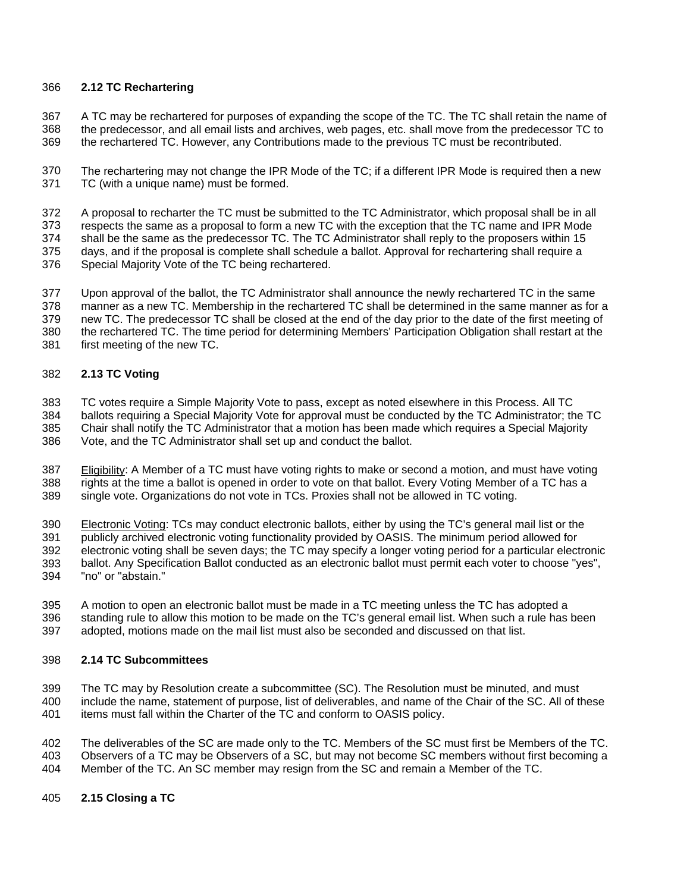## <span id="page-10-0"></span>366 **2.12 TC Rechartering**

367 368 A TC may be rechartered for purposes of expanding the scope of the TC. The TC shall retain the name of the predecessor, and all email lists and archives, web pages, etc. shall move from the predecessor TC to

369 the rechartered TC. However, any Contributions made to the previous TC must be recontributed.

370 371 The rechartering may not change the IPR Mode of the TC; if a different IPR Mode is required then a new TC (with a unique name) must be formed.

372 373 374 375 376 A proposal to recharter the TC must be submitted to the TC Administrator, which proposal shall be in all respects the same as a proposal to form a new TC with the exception that the TC name and IPR Mode shall be the same as the predecessor TC. The TC Administrator shall reply to the proposers within 15 days, and if the proposal is complete shall schedule a ballot. Approval for rechartering shall require a Special Majority Vote of the TC being rechartered.

377 378 379 380 381 Upon approval of the ballot, the TC Administrator shall announce the newly rechartered TC in the same manner as a new TC. Membership in the rechartered TC shall be determined in the same manner as for a new TC. The predecessor TC shall be closed at the end of the day prior to the date of the first meeting of the rechartered TC. The time period for determining Members' Participation Obligation shall restart at the first meeting of the new TC.

#### 382 **2.13 TC Voting**

383 TC votes require a Simple Majority Vote to pass, except as noted elsewhere in this Process. All TC

384 ballots requiring a Special Majority Vote for approval must be conducted by the TC Administrator; the TC

385 Chair shall notify the TC Administrator that a motion has been made which requires a Special Majority

386 Vote, and the TC Administrator shall set up and conduct the ballot.

Eligibility: A Member of a TC must have voting rights to make or second a motion, and must have voting rights at the time a ballot is opened in order to vote on that ballot. Every Voting Member of a TC has a single vote. Organizations do not vote in TCs. Proxies shall not be allowed in TC voting. 387 388 389

Electronic Voting: TCs may conduct electronic ballots, either by using the TC's general mail list or the publicly archived electronic voting functionality provided by OASIS. The minimum period allowed for 390 391

electronic voting shall be seven days; the TC may specify a longer voting period for a particular electronic 392

- ballot. Any Specification Ballot conducted as an electronic ballot must permit each voter to choose "yes", 393
- "no" or "abstain." 394

395 A motion to open an electronic ballot must be made in a TC meeting unless the TC has adopted a

396 standing rule to allow this motion to be made on the TC's general email list. When such a rule has been

397 adopted, motions made on the mail list must also be seconded and discussed on that list.

#### 398 **2.14 TC Subcommittees**

399 400 The TC may by Resolution create a subcommittee (SC). The Resolution must be minuted, and must include the name, statement of purpose, list of deliverables, and name of the Chair of the SC. All of these

401 items must fall within the Charter of the TC and conform to OASIS policy.

402 The deliverables of the SC are made only to the TC. Members of the SC must first be Members of the TC.

403 404 Observers of a TC may be Observers of a SC, but may not become SC members without first becoming a Member of the TC. An SC member may resign from the SC and remain a Member of the TC.

405 **2.15 Closing a TC**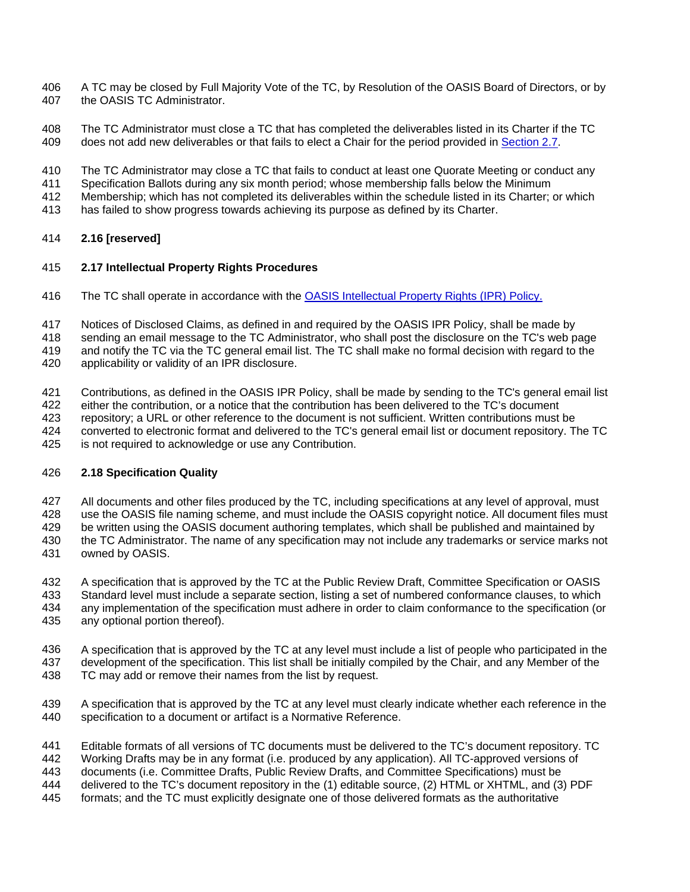- <span id="page-11-0"></span>A TC may be closed by Full Majority Vote of the TC, by Resolution of the OASIS Board of Directors, or by the OASIS TC Administrator. 406 407
- 408 The TC Administrator must close a TC that has completed the deliverables listed in its Charter if the TC
- 409 does not add new deliverables or that fails to elect a Chair for the period provided in [Section 2.7](#page-7-0).
- 410 The TC Administrator may close a TC that fails to conduct at least one Quorate Meeting or conduct any
- 411 Specification Ballots during any six month period; whose membership falls below the Minimum
- 412 Membership; which has not completed its deliverables within the schedule listed in its Charter; or which
- 413 has failed to show progress towards achieving its purpose as defined by its Charter.

#### 414 **2.16 [reserved]**

#### 415 **2.17 Intellectual Property Rights Procedures**

- 416 The TC shall operate in accordance with the [OASIS Intellectual Property Rights \(IPR\) Policy.](http://www.oasis-open.org/who/intellectualproperty.php)
- 417 Notices of Disclosed Claims, as defined in and required by the OASIS IPR Policy, shall be made by
- 418 sending an email message to the TC Administrator, who shall post the disclosure on the TC's web page
- 419 and notify the TC via the TC general email list. The TC shall make no formal decision with regard to the
- 420 applicability or validity of an IPR disclosure.
- 421 Contributions, as defined in the OASIS IPR Policy, shall be made by sending to the TC's general email list
- 422 either the contribution, or a notice that the contribution has been delivered to the TC's document
- 423 repository; a URL or other reference to the document is not sufficient. Written contributions must be
- 424 converted to electronic format and delivered to the TC's general email list or document repository. The TC
- 425 is not required to acknowledge or use any Contribution.

#### 426 **2.18 Specification Quality**

- 427 All documents and other files produced by the TC, including specifications at any level of approval, must
- 428 use the OASIS file naming scheme, and must include the OASIS copyright notice. All document files must
- 429 be written using the OASIS document authoring templates, which shall be published and maintained by the TC Administrator. The name of any specification may not include any trademarks or service marks not
- 430 431 owned by OASIS.
- 432 A specification that is approved by the TC at the Public Review Draft, Committee Specification or OASIS
- 433 Standard level must include a separate section, listing a set of numbered conformance clauses, to which any implementation of the specification must adhere in order to claim conformance to the specification (or
- 434 435 any optional portion thereof).
	- 436 437 A specification that is approved by the TC at any level must include a list of people who participated in the development of the specification. This list shall be initially compiled by the Chair, and any Member of the
	- 438 TC may add or remove their names from the list by request.
	- 439 440 A specification that is approved by the TC at any level must clearly indicate whether each reference in the specification to a document or artifact is a Normative Reference.
	- 441 Editable formats of all versions of TC documents must be delivered to the TC's document repository. TC
	- 442 Working Drafts may be in any format (i.e. produced by any application). All TC-approved versions of
	- 443 documents (i.e. Committee Drafts, Public Review Drafts, and Committee Specifications) must be
	- 444 445 delivered to the TC's document repository in the (1) editable source, (2) HTML or XHTML, and (3) PDF formats; and the TC must explicitly designate one of those delivered formats as the authoritative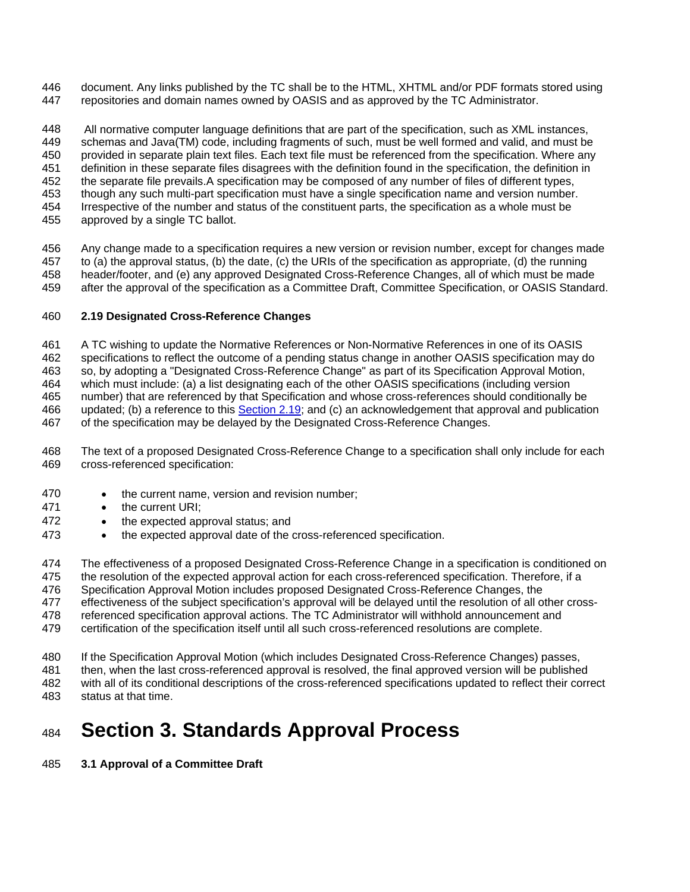<span id="page-12-0"></span>document. Any links published by the TC shall be to the HTML, XHTML and/or PDF formats stored using repositories and domain names owned by OASIS and as approved by the TC Administrator. 446 447

448 449 450 451 452 453 454 455 All normative computer language definitions that are part of the specification, such as XML instances, schemas and Java(TM) code, including fragments of such, must be well formed and valid, and must be provided in separate plain text files. Each text file must be referenced from the specification. Where any definition in these separate files disagrees with the definition found in the specification, the definition in the separate file prevails.A specification may be composed of any number of files of different types, though any such multi-part specification must have a single specification name and version number. Irrespective of the number and status of the constituent parts, the specification as a whole must be approved by a single TC ballot.

456 457 458 459 Any change made to a specification requires a new version or revision number, except for changes made to (a) the approval status, (b) the date, (c) the URIs of the specification as appropriate, (d) the running header/footer, and (e) any approved Designated Cross-Reference Changes, all of which must be made after the approval of the specification as a Committee Draft, Committee Specification, or OASIS Standard.

#### 460 **2.19 Designated Cross-Reference Changes**

461 A TC wishing to update the Normative References or Non-Normative References in one of its OASIS

462 specifications to reflect the outcome of a pending status change in another OASIS specification may do

463 so, by adopting a "Designated Cross-Reference Change" as part of its Specification Approval Motion,

464 465 which must include: (a) a list designating each of the other OASIS specifications (including version

number) that are referenced by that Specification and whose cross-references should conditionally be updated; (b) a reference to this [Section 2.19](#page-12-0); and (c) an acknowledgement that approval and publication of the specification may be delayed by the Designated Cross-Reference Changes. 466 467

- 468 469 The text of a proposed Designated Cross-Reference Change to a specification shall only include for each cross-referenced specification:
- 470 • the current name, version and revision number;
- 471 • the current URI:
- 472 • the expected approval status; and
- 473 • the expected approval date of the cross-referenced specification.

474 475 The effectiveness of a proposed Designated Cross-Reference Change in a specification is conditioned on the resolution of the expected approval action for each cross-referenced specification. Therefore, if a

476 Specification Approval Motion includes proposed Designated Cross-Reference Changes, the

477 effectiveness of the subject specification's approval will be delayed until the resolution of all other cross-

478 referenced specification approval actions. The TC Administrator will withhold announcement and

479 certification of the specification itself until all such cross-referenced resolutions are complete.

480 If the Specification Approval Motion (which includes Designated Cross-Reference Changes) passes,

481 then, when the last cross-referenced approval is resolved, the final approved version will be published

482 483 with all of its conditional descriptions of the cross-referenced specifications updated to reflect their correct status at that time.

## 484 **Section 3. Standards Approval Process**

#### 485 **3.1 Approval of a Committee Draft**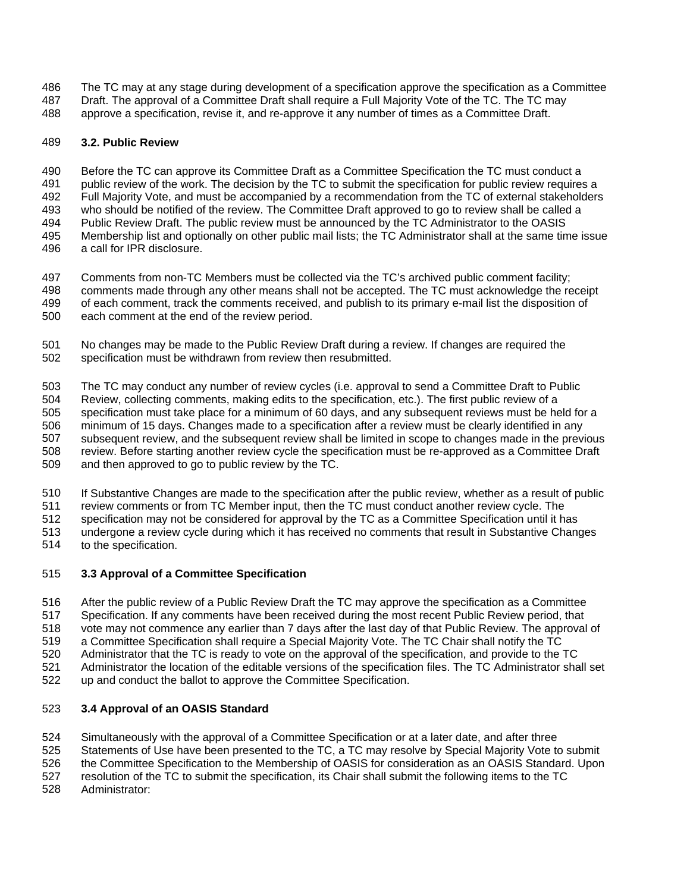- <span id="page-13-0"></span>The TC may at any stage during development of a specification approve the specification as a Committee 486
- Draft. The approval of a Committee Draft shall require a Full Majority Vote of the TC. The TC may 487
- approve a specification, revise it, and re-approve it any number of times as a Committee Draft. 488

#### 489 **3.2. Public Review**

490 491 492 493 494 495 Before the TC can approve its Committee Draft as a Committee Specification the TC must conduct a public review of the work. The decision by the TC to submit the specification for public review requires a Full Majority Vote, and must be accompanied by a recommendation from the TC of external stakeholders who should be notified of the review. The Committee Draft approved to go to review shall be called a Public Review Draft. The public review must be announced by the TC Administrator to the OASIS Membership list and optionally on other public mail lists; the TC Administrator shall at the same time issue

496 a call for IPR disclosure.

497 498 499 Comments from non-TC Members must be collected via the TC's archived public comment facility; comments made through any other means shall not be accepted. The TC must acknowledge the receipt of each comment, track the comments received, and publish to its primary e-mail list the disposition of

500 each comment at the end of the review period.

501 502 No changes may be made to the Public Review Draft during a review. If changes are required the specification must be withdrawn from review then resubmitted.

503 504 505 506 507 508 509 The TC may conduct any number of review cycles (i.e. approval to send a Committee Draft to Public Review, collecting comments, making edits to the specification, etc.). The first public review of a specification must take place for a minimum of 60 days, and any subsequent reviews must be held for a minimum of 15 days. Changes made to a specification after a review must be clearly identified in any subsequent review, and the subsequent review shall be limited in scope to changes made in the previous review. Before starting another review cycle the specification must be re-approved as a Committee Draft and then approved to go to public review by the TC.

510 If Substantive Changes are made to the specification after the public review, whether as a result of public

511 review comments or from TC Member input, then the TC must conduct another review cycle. The

512 513 specification may not be considered for approval by the TC as a Committee Specification until it has undergone a review cycle during which it has received no comments that result in Substantive Changes

514 to the specification.

#### 515 **3.3 Approval of a Committee Specification**

516 517 518 519 520 After the public review of a Public Review Draft the TC may approve the specification as a Committee Specification. If any comments have been received during the most recent Public Review period, that vote may not commence any earlier than 7 days after the last day of that Public Review. The approval of a Committee Specification shall require a Special Majority Vote. The TC Chair shall notify the TC Administrator that the TC is ready to vote on the approval of the specification, and provide to the TC

521 Administrator the location of the editable versions of the specification files. The TC Administrator shall set

522 up and conduct the ballot to approve the Committee Specification.

#### 523 **3.4 Approval of an OASIS Standard**

524 Simultaneously with the approval of a Committee Specification or at a later date, and after three

525 Statements of Use have been presented to the TC, a TC may resolve by Special Majority Vote to submit

- 526 the Committee Specification to the Membership of OASIS for consideration as an OASIS Standard. Upon
- 527 resolution of the TC to submit the specification, its Chair shall submit the following items to the TC
- 528 Administrator: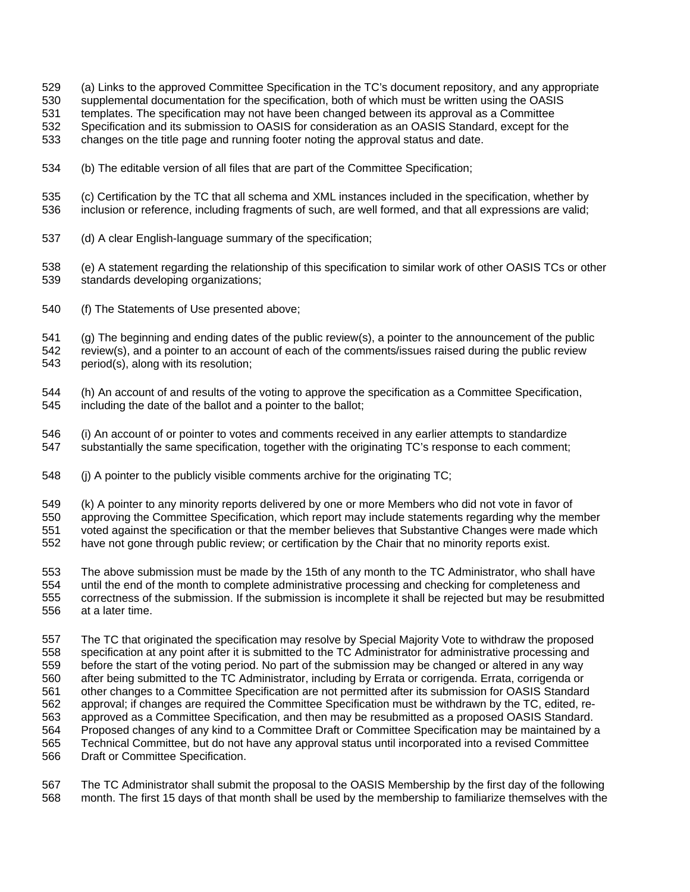- (a) Links to the approved Committee Specification in the TC's document repository, and any appropriate 529
- supplemental documentation for the specification, both of which must be written using the OASIS 530
- templates. The specification may not have been changed between its approval as a Committee 531
- Specification and its submission to OASIS for consideration as an OASIS Standard, except for the 532
- changes on the title page and running footer noting the approval status and date. 533
- 534 (b) The editable version of all files that are part of the Committee Specification;
- 535 536 (c) Certification by the TC that all schema and XML instances included in the specification, whether by inclusion or reference, including fragments of such, are well formed, and that all expressions are valid;
- 537 (d) A clear English-language summary of the specification;
- 538 539 (e) A statement regarding the relationship of this specification to similar work of other OASIS TCs or other standards developing organizations;
- 540 (f) The Statements of Use presented above;

541 542 543 (g) The beginning and ending dates of the public review(s), a pointer to the announcement of the public review(s), and a pointer to an account of each of the comments/issues raised during the public review period(s), along with its resolution;

- 544 545 (h) An account of and results of the voting to approve the specification as a Committee Specification, including the date of the ballot and a pointer to the ballot;
- 546 547 (i) An account of or pointer to votes and comments received in any earlier attempts to standardize substantially the same specification, together with the originating TC's response to each comment;
- 548 (j) A pointer to the publicly visible comments archive for the originating TC;
- 549 (k) A pointer to any minority reports delivered by one or more Members who did not vote in favor of
- 550 approving the Committee Specification, which report may include statements regarding why the member
- 551 voted against the specification or that the member believes that Substantive Changes were made which
- 552 have not gone through public review; or certification by the Chair that no minority reports exist.
- 553 554 555 556 The above submission must be made by the 15th of any month to the TC Administrator, who shall have until the end of the month to complete administrative processing and checking for completeness and correctness of the submission. If the submission is incomplete it shall be rejected but may be resubmitted at a later time.
- 557 558 559 560 561 562 563 564 565 566 The TC that originated the specification may resolve by Special Majority Vote to withdraw the proposed specification at any point after it is submitted to the TC Administrator for administrative processing and before the start of the voting period. No part of the submission may be changed or altered in any way after being submitted to the TC Administrator, including by Errata or corrigenda. Errata, corrigenda or other changes to a Committee Specification are not permitted after its submission for OASIS Standard approval; if changes are required the Committee Specification must be withdrawn by the TC, edited, reapproved as a Committee Specification, and then may be resubmitted as a proposed OASIS Standard. Proposed changes of any kind to a Committee Draft or Committee Specification may be maintained by a Technical Committee, but do not have any approval status until incorporated into a revised Committee Draft or Committee Specification.
- 567 568 The TC Administrator shall submit the proposal to the OASIS Membership by the first day of the following month. The first 15 days of that month shall be used by the membership to familiarize themselves with the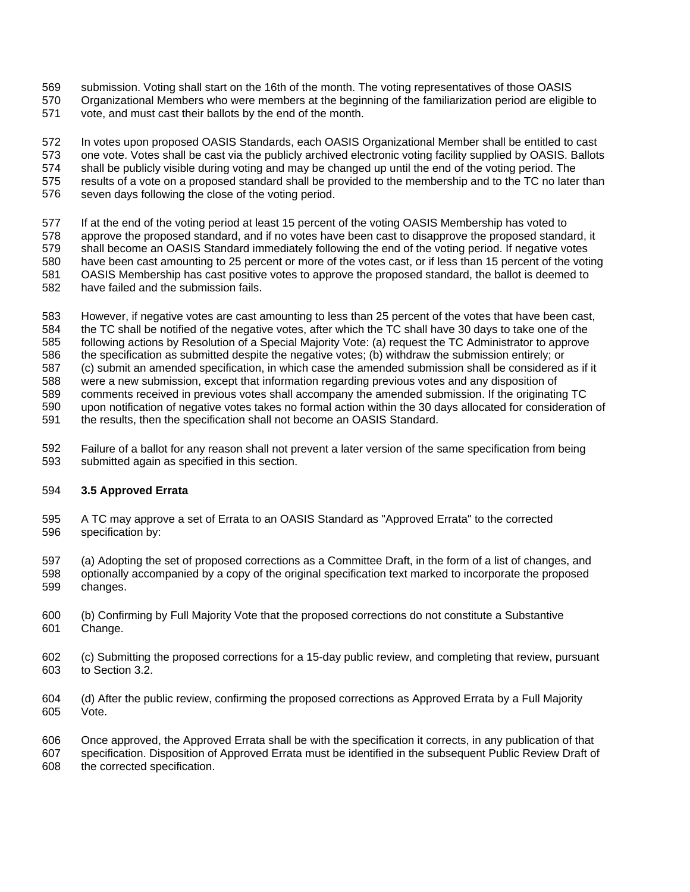- <span id="page-15-0"></span>submission. Voting shall start on the 16th of the month. The voting representatives of those OASIS 569
- Organizational Members who were members at the beginning of the familiarization period are eligible to 570
- vote, and must cast their ballots by the end of the month. 571

572 573 574 575 576 In votes upon proposed OASIS Standards, each OASIS Organizational Member shall be entitled to cast one vote. Votes shall be cast via the publicly archived electronic voting facility supplied by OASIS. Ballots shall be publicly visible during voting and may be changed up until the end of the voting period. The results of a vote on a proposed standard shall be provided to the membership and to the TC no later than seven days following the close of the voting period.

- 577 If at the end of the voting period at least 15 percent of the voting OASIS Membership has voted to
- 578 579 580 approve the proposed standard, and if no votes have been cast to disapprove the proposed standard, it shall become an OASIS Standard immediately following the end of the voting period. If negative votes have been cast amounting to 25 percent or more of the votes cast, or if less than 15 percent of the voting
- 581 OASIS Membership has cast positive votes to approve the proposed standard, the ballot is deemed to
- 582 have failed and the submission fails.
- 583 However, if negative votes are cast amounting to less than 25 percent of the votes that have been cast,
- 584 the TC shall be notified of the negative votes, after which the TC shall have 30 days to take one of the
- 585 following actions by Resolution of a Special Majority Vote: (a) request the TC Administrator to approve
- 586 the specification as submitted despite the negative votes; (b) withdraw the submission entirely; or
- 587 (c) submit an amended specification, in which case the amended submission shall be considered as if it
- 588 were a new submission, except that information regarding previous votes and any disposition of
- 589 590 comments received in previous votes shall accompany the amended submission. If the originating TC upon notification of negative votes takes no formal action within the 30 days allocated for consideration of
- 591 the results, then the specification shall not become an OASIS Standard.
- 592 593 Failure of a ballot for any reason shall not prevent a later version of the same specification from being submitted again as specified in this section.

#### 594 **3.5 Approved Errata**

- 595 596 A TC may approve a set of Errata to an OASIS Standard as "Approved Errata" to the corrected specification by:
- 597 598 599 (a) Adopting the set of proposed corrections as a Committee Draft, in the form of a list of changes, and optionally accompanied by a copy of the original specification text marked to incorporate the proposed changes.
- 600 601 (b) Confirming by Full Majority Vote that the proposed corrections do not constitute a Substantive Change.
- 602 603 (c) Submitting the proposed corrections for a 15-day public review, and completing that review, pursuant to Section 3.2.
- 604 605 (d) After the public review, confirming the proposed corrections as Approved Errata by a Full Majority Vote.

606 607 608 Once approved, the Approved Errata shall be with the specification it corrects, in any publication of that specification. Disposition of Approved Errata must be identified in the subsequent Public Review Draft of the corrected specification.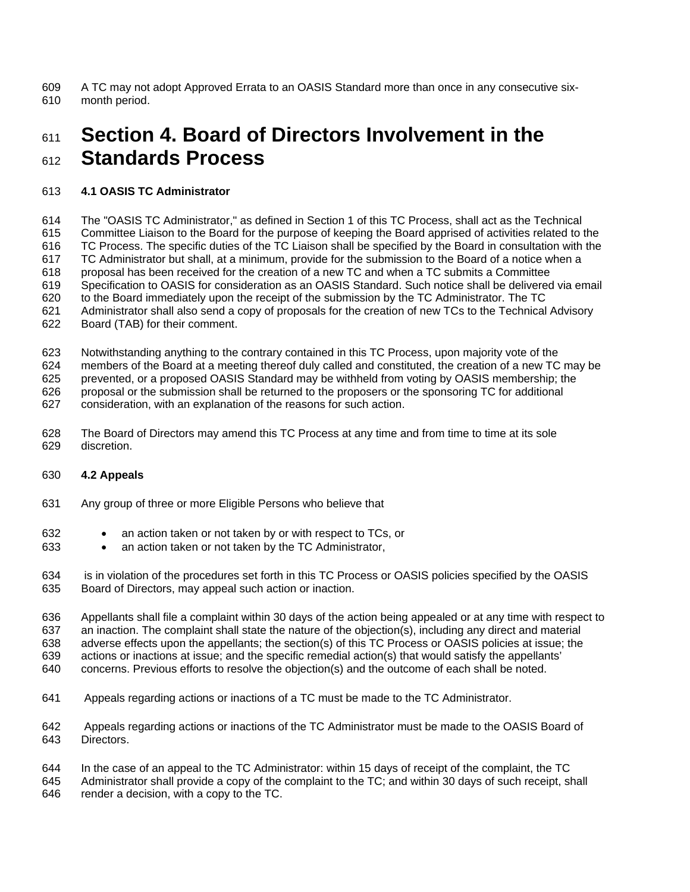<span id="page-16-0"></span>A TC may not adopt Approved Errata to an OASIS Standard more than once in any consecutive sixmonth period. 609 610

### 611 612 **Section 4. Board of Directors Involvement in the Standards Process**

#### 613 **4.1 OASIS TC Administrator**

614 The "OASIS TC Administrator," as defined in Section 1 of this TC Process, shall act as the Technical

615 616 Committee Liaison to the Board for the purpose of keeping the Board apprised of activities related to the TC Process. The specific duties of the TC Liaison shall be specified by the Board in consultation with the

617 TC Administrator but shall, at a minimum, provide for the submission to the Board of a notice when a

618 proposal has been received for the creation of a new TC and when a TC submits a Committee

619 Specification to OASIS for consideration as an OASIS Standard. Such notice shall be delivered via email

620 to the Board immediately upon the receipt of the submission by the TC Administrator. The TC

621 Administrator shall also send a copy of proposals for the creation of new TCs to the Technical Advisory

622 Board (TAB) for their comment.

623 Notwithstanding anything to the contrary contained in this TC Process, upon majority vote of the

624 members of the Board at a meeting thereof duly called and constituted, the creation of a new TC may be

625 prevented, or a proposed OASIS Standard may be withheld from voting by OASIS membership; the

626 proposal or the submission shall be returned to the proposers or the sponsoring TC for additional

627 consideration, with an explanation of the reasons for such action.

628 629 The Board of Directors may amend this TC Process at any time and from time to time at its sole discretion.

#### 630 **4.2 Appeals**

- 631 Any group of three or more Eligible Persons who believe that
- 632 • an action taken or not taken by or with respect to TCs, or
- 633 • an action taken or not taken by the TC Administrator,
- 634 635 is in violation of the procedures set forth in this TC Process or OASIS policies specified by the OASIS Board of Directors, may appeal such action or inaction.

636 637 638 639 Appellants shall file a complaint within 30 days of the action being appealed or at any time with respect to an inaction. The complaint shall state the nature of the objection(s), including any direct and material adverse effects upon the appellants; the section(s) of this TC Process or OASIS policies at issue; the actions or inactions at issue; and the specific remedial action(s) that would satisfy the appellants'

640 concerns. Previous efforts to resolve the objection(s) and the outcome of each shall be noted.

- 641 Appeals regarding actions or inactions of a TC must be made to the TC Administrator.
- 642 643 Appeals regarding actions or inactions of the TC Administrator must be made to the OASIS Board of Directors.

644 645 646 In the case of an appeal to the TC Administrator: within 15 days of receipt of the complaint, the TC Administrator shall provide a copy of the complaint to the TC; and within 30 days of such receipt, shall render a decision, with a copy to the TC.